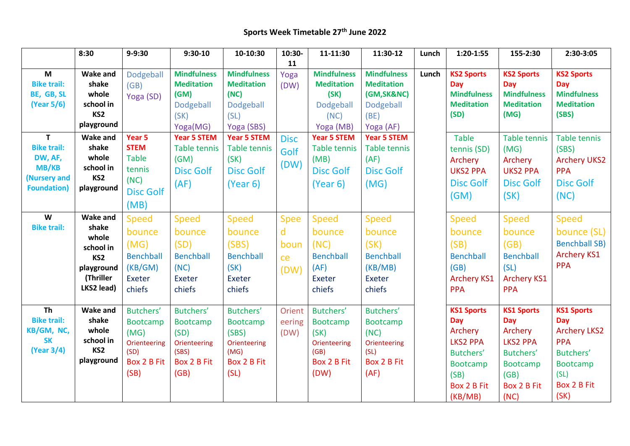## **Sports Week Timetable 27th June 2022**

|                         | 8:30                         | $9 - 9:30$       | $9:30-10$                               | 10-10:30                                | 10:30-      | 11-11:30                                | 11:30-12                                | Lunch | $1:20-1:55$              | 155-2:30                 | 2:30-3:05                |
|-------------------------|------------------------------|------------------|-----------------------------------------|-----------------------------------------|-------------|-----------------------------------------|-----------------------------------------|-------|--------------------------|--------------------------|--------------------------|
|                         |                              |                  |                                         |                                         | 11          |                                         |                                         |       |                          |                          |                          |
| M<br><b>Bike trail:</b> | <b>Wake and</b><br>shake     | Dodgeball        | <b>Mindfulness</b><br><b>Meditation</b> | <b>Mindfulness</b><br><b>Meditation</b> | Yoga        | <b>Mindfulness</b><br><b>Meditation</b> | <b>Mindfulness</b><br><b>Meditation</b> | Lunch | <b>KS2 Sports</b><br>Day | <b>KS2 Sports</b><br>Day | <b>KS2 Sports</b><br>Day |
| BE, GB, SL              | whole                        | (GB)             | (SM)                                    | (NC)                                    | (DW)        | (SK)                                    | (GM, SK&NC)                             |       | <b>Mindfulness</b>       | <b>Mindfulness</b>       | <b>Mindfulness</b>       |
| (Year 5/6)              | school in                    | Yoga (SD)        | Dodgeball                               | Dodgeball                               |             | Dodgeball                               | Dodgeball                               |       | <b>Meditation</b>        | <b>Meditation</b>        | <b>Meditation</b>        |
|                         | KS <sub>2</sub>              |                  | (SK)                                    | (SL)                                    |             | (NC)                                    | (BE)                                    |       | (SD)                     | (MG)                     | (SBS)                    |
|                         | playground                   |                  | Yoga(MG)                                | Yoga (SBS)                              |             | Yoga (MB)                               | Yoga (AF)                               |       |                          |                          |                          |
| $\mathbf{T}$            | <b>Wake and</b>              | Year 5           | <b>Year 5 STEM</b>                      | <b>Year 5 STEM</b>                      | <b>Disc</b> | <b>Year 5 STEM</b>                      | <b>Year 5 STEM</b>                      |       | <b>Table</b>             | <b>Table tennis</b>      | <b>Table tennis</b>      |
| <b>Bike trail:</b>      | shake                        | <b>STEM</b>      | <b>Table tennis</b>                     | <b>Table tennis</b>                     |             | <b>Table tennis</b>                     | Table tennis                            |       | tennis (SD)              | (MG)                     | (SBS)                    |
| DW, AF,                 | whole                        | <b>Table</b>     | (GM)                                    | (SK)                                    | Golf        | (MB)                                    | (AF)                                    |       | Archery                  | Archery                  | <b>Archery UKS2</b>      |
| <b>MB/KB</b>            | school in                    | tennis           | <b>Disc Golf</b>                        | <b>Disc Golf</b>                        | (DW)        | <b>Disc Golf</b>                        | <b>Disc Golf</b>                        |       | <b>UKS2 PPA</b>          | <b>UKS2 PPA</b>          | <b>PPA</b>               |
| (Nursery and            | KS <sub>2</sub>              | (NC)             | (AF)                                    | (Year 6)                                |             | (Year 6)                                | (MG)                                    |       | <b>Disc Golf</b>         | <b>Disc Golf</b>         | <b>Disc Golf</b>         |
| <b>Foundation</b> )     | playground                   | <b>Disc Golf</b> |                                         |                                         |             |                                         |                                         |       | (GM)                     |                          |                          |
|                         |                              | (MB)             |                                         |                                         |             |                                         |                                         |       |                          | (SK)                     | (NC)                     |
| W                       | <b>Wake and</b>              | <b>Speed</b>     | <b>Speed</b>                            | <b>Speed</b>                            | <b>Spee</b> | <b>Speed</b>                            | <b>Speed</b>                            |       | <b>Speed</b>             | <b>Speed</b>             | <b>Speed</b>             |
| <b>Bike trail:</b>      | shake                        | bounce           | bounce                                  | bounce                                  | d           | bounce                                  | bounce                                  |       | bounce                   | bounce                   | bounce (SL)              |
|                         | whole                        | (MG)             | (SD)                                    | (SBS)                                   | boun        | (NC)                                    | (SK)                                    |       | (SB)                     | (GB)                     | <b>Benchball SB)</b>     |
|                         | school in<br>KS <sub>2</sub> | <b>Benchball</b> | <b>Benchball</b>                        | <b>Benchball</b>                        | ce          | <b>Benchball</b>                        | <b>Benchball</b>                        |       | <b>Benchball</b>         | <b>Benchball</b>         | <b>Archery KS1</b>       |
|                         | playground                   | (KB/GM)          | (NC)                                    | (SK)                                    |             | (AF)                                    | (KB/MB)                                 |       | (GB)                     | (SL)                     | <b>PPA</b>               |
|                         | (Thriller                    | <b>Exeter</b>    | Exeter                                  | Exeter                                  | (DW)        | Exeter                                  | Exeter                                  |       | <b>Archery KS1</b>       | <b>Archery KS1</b>       |                          |
|                         | LKS2 lead)                   | chiefs           | chiefs                                  | chiefs                                  |             | chiefs                                  | chiefs                                  |       | <b>PPA</b>               | <b>PPA</b>               |                          |
|                         |                              |                  |                                         |                                         |             |                                         |                                         |       |                          |                          |                          |
| <b>Th</b>               | <b>Wake and</b>              | Butchers'        | Butchers'                               | Butchers'                               | Orient      | Butchers'                               | Butchers'                               |       | <b>KS1 Sports</b>        | <b>KS1 Sports</b>        | <b>KS1 Sports</b>        |
| <b>Bike trail:</b>      | shake                        | <b>Bootcamp</b>  | <b>Bootcamp</b>                         | <b>Bootcamp</b>                         | eering      | <b>Bootcamp</b>                         | <b>Bootcamp</b>                         |       | <b>Day</b>               | <b>Day</b>               | <b>Day</b>               |
| KB/GM, NC,              | whole                        | (MG)             | (SD)                                    | (SBS)                                   | (DW)        | (SK)                                    | (NC)                                    |       | Archery                  | Archery                  | <b>Archery LKS2</b>      |
| <b>SK</b>               | school in                    | Orienteering     | Orienteering                            | Orienteering                            |             | Orienteering                            | Orienteering                            |       | <b>LKS2 PPA</b>          | <b>LKS2 PPA</b>          | <b>PPA</b>               |
| (Year 3/4)              | KS <sub>2</sub>              | (SD)             | (SBS)                                   | (MG)                                    |             | (GB)                                    | (SL)                                    |       | Butchers'                | Butchers'                | Butchers'                |
|                         | playground                   | Box 2 B Fit      | Box 2 B Fit                             | Box 2 B Fit                             |             | Box 2 B Fit                             | Box 2 B Fit                             |       | <b>Bootcamp</b>          | Bootcamp                 | Bootcamp                 |
|                         |                              | (SB)             | (GB)                                    | (SL)                                    |             | (DW)                                    | (AF)                                    |       | (SB)                     | (GB)                     | (SL)                     |
|                         |                              |                  |                                         |                                         |             |                                         |                                         |       | Box 2 B Fit              | Box 2 B Fit              | Box 2 B Fit              |
|                         |                              |                  |                                         |                                         |             |                                         |                                         |       | (KB/MB)                  | (NC)                     | (SK)                     |